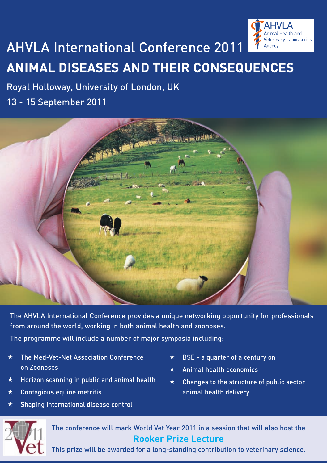

## AHVLA International Conference 2011 **ANIMAL DISEASES AND THEIR CONSEQUENCES**

## Royal Holloway, University of London, UK 13 - 15 September 2011



The AHVLA International Conference provides a unique networking opportunity for professionals from around the world, working in both animal health and zoonoses.

The programme will include a number of major symposia including:

 The Med-Vet-Net Association Conference on Zoonoses

 $\star$  Shaping international disease control

 $\star$  Contagious equine metritis

 $\star$  Horizon scanning in public and animal health

- $\star$  BSE a quarter of a century on
- $\star$  Animal health economics
- $\star$  Changes to the structure of public sector animal health delivery



The conference will mark World Vet Year 2011 in a session that will also host the **Rooker Prize Lecture**

This prize will be awarded for a long-standing contribution to veterinary science.